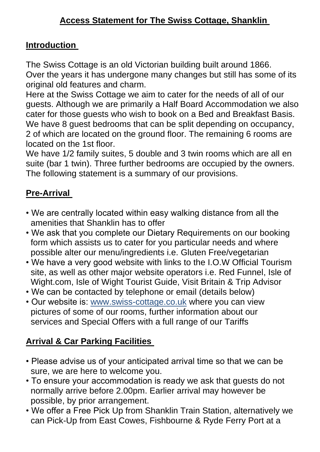#### **Introduction**

The Swiss Cottage is an old Victorian building built around 1866. Over the years it has undergone many changes but still has some of its original old features and charm.

Here at the Swiss Cottage we aim to cater for the needs of all of our guests. Although we are primarily a Half Board Accommodation we also cater for those guests who wish to book on a Bed and Breakfast Basis. We have 8 guest bedrooms that can be split depending on occupancy, 2 of which are located on the ground floor. The remaining 6 rooms are located on the 1st floor.

We have 1/2 family suites, 5 double and 3 twin rooms which are all en suite (bar 1 twin). Three further bedrooms are occupied by the owners. The following statement is a summary of our provisions.

# **Pre-Arrival**

- We are centrally located within easy walking distance from all the amenities that Shanklin has to offer
- We ask that you complete our Dietary Requirements on our booking form which assists us to cater for you particular needs and where possible alter our menu/ingredients i.e. Gluten Free/vegetarian
- We have a very good website with links to the I.O.W Official Tourism site, as well as other major website operators i.e. Red Funnel, Isle of Wight.com, Isle of Wight Tourist Guide, Visit Britain & Trip Advisor
- We can be contacted by telephone or email (details below)
- Our website is: www.swiss-cottage.co.uk where you can view pictures of some of our rooms, further information about our services and Special Offers with a full range of our Tariffs

# **Arrival & Car Parking Facilities**

- Please advise us of your anticipated arrival time so that we can be sure, we are here to welcome you.
- To ensure your accommodation is ready we ask that guests do not normally arrive before 2.00pm. Earlier arrival may however be possible, by prior arrangement.
- We offer a Free Pick Up from Shanklin Train Station, alternatively we can Pick-Up from East Cowes, Fishbourne & Ryde Ferry Port at a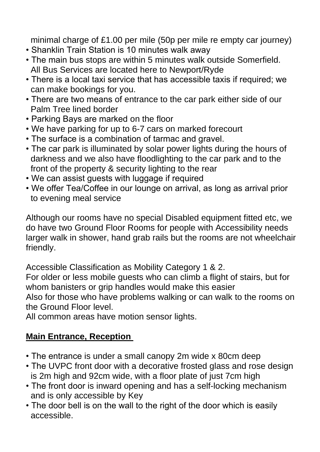minimal charge of £1.00 per mile (50p per mile re empty car journey)

- Shanklin Train Station is 10 minutes walk away
- The main bus stops are within 5 minutes walk outside Somerfield. All Bus Services are located here to Newport/Ryde
- There is a local taxi service that has accessible taxis if required; we can make bookings for you.
- There are two means of entrance to the car park either side of our Palm Tree lined border
- Parking Bays are marked on the floor
- We have parking for up to 6-7 cars on marked forecourt
- The surface is a combination of tarmac and gravel.
- The car park is illuminated by solar power lights during the hours of darkness and we also have floodlighting to the car park and to the front of the property & security lighting to the rear
- We can assist guests with luggage if required
- We offer Tea/Coffee in our lounge on arrival, as long as arrival prior to evening meal service

Although our rooms have no special Disabled equipment fitted etc, we do have two Ground Floor Rooms for people with Accessibility needs larger walk in shower, hand grab rails but the rooms are not wheelchair friendly.

Accessible Classification as Mobility Category 1 & 2.

For older or less mobile guests who can climb a flight of stairs, but for whom banisters or grip handles would make this easier Also for those who have problems walking or can walk to the rooms on the Ground Floor level.

All common areas have motion sensor lights.

## **Main Entrance, Reception**

- The entrance is under a small canopy 2m wide x 80cm deep
- The UVPC front door with a decorative frosted glass and rose design is 2m high and 92cm wide, with a floor plate of just 7cm high
- The front door is inward opening and has a self-locking mechanism and is only accessible by Key
- The door bell is on the wall to the right of the door which is easily accessible.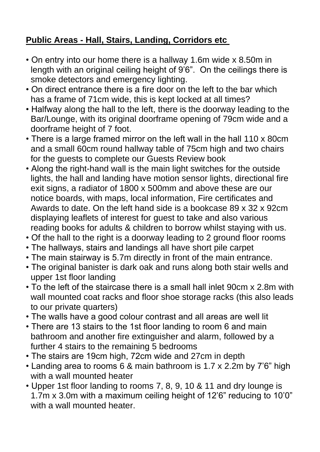## **Public Areas - Hall, Stairs, Landing, Corridors etc**

- On entry into our home there is a hallway 1.6m wide x 8.50m in length with an original ceiling height of 9'6". On the ceilings there is smoke detectors and emergency lighting.
- On direct entrance there is a fire door on the left to the bar which has a frame of 71cm wide, this is kept locked at all times?
- Halfway along the hall to the left, there is the doorway leading to the Bar/Lounge, with its original doorframe opening of 79cm wide and a doorframe height of 7 foot.
- There is a large framed mirror on the left wall in the hall 110 x 80cm and a small 60cm round hallway table of 75cm high and two chairs for the guests to complete our Guests Review book
- Along the right-hand wall is the main light switches for the outside lights, the hall and landing have motion sensor lights, directional fire exit signs, a radiator of 1800 x 500mm and above these are our notice boards, with maps, local information, Fire certificates and Awards to date. On the left hand side is a bookcase 89 x 32 x 92cm displaying leaflets of interest for guest to take and also various reading books for adults & children to borrow whilst staying with us.
- Of the hall to the right is a doorway leading to 2 ground floor rooms
- The hallways, stairs and landings all have short pile carpet
- The main stairway is 5.7m directly in front of the main entrance.
- The original banister is dark oak and runs along both stair wells and upper 1st floor landing
- To the left of the staircase there is a small hall inlet 90cm x 2.8m with wall mounted coat racks and floor shoe storage racks (this also leads to our private quarters)
- The walls have a good colour contrast and all areas are well lit
- There are 13 stairs to the 1st floor landing to room 6 and main bathroom and another fire extinguisher and alarm, followed by a further 4 stairs to the remaining 5 bedrooms
- The stairs are 19cm high, 72cm wide and 27cm in depth
- Landing area to rooms 6 & main bathroom is 1.7 x 2.2m by 7'6" high with a wall mounted heater
- Upper 1st floor landing to rooms 7, 8, 9, 10 & 11 and dry lounge is 1.7m x 3.0m with a maximum ceiling height of 12'6" reducing to 10'0" with a wall mounted heater.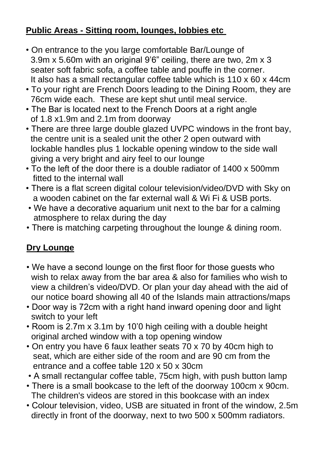## **Public Areas - Sitting room, lounges, lobbies etc**

- On entrance to the you large comfortable Bar/Lounge of 3.9m x 5.60m with an original 9'6" ceiling, there are two, 2m x 3 seater soft fabric sofa, a coffee table and pouffe in the corner. It also has a small rectangular coffee table which is 110 x 60 x 44cm
- To your right are French Doors leading to the Dining Room, they are 76cm wide each. These are kept shut until meal service.
- The Bar is located next to the French Doors at a right angle of 1.8 x1.9m and 2.1m from doorway
- There are three large double glazed UVPC windows in the front bay, the centre unit is a sealed unit the other 2 open outward with lockable handles plus 1 lockable opening window to the side wall giving a very bright and airy feel to our lounge
- To the left of the door there is a double radiator of 1400 x 500mm fitted to the internal wall
- There is a flat screen digital colour television/video/DVD with Sky on a wooden cabinet on the far external wall & Wi Fi & USB ports.
- We have a decorative aquarium unit next to the bar for a calming atmosphere to relax during the day
- There is matching carpeting throughout the lounge & dining room.

## **Dry Lounge**

- We have a second lounge on the first floor for those guests who wish to relax away from the bar area & also for families who wish to view a children's video/DVD. Or plan your day ahead with the aid of our notice board showing all 40 of the Islands main attractions/maps
- Door way is 72cm with a right hand inward opening door and light switch to your left
- Room is 2.7m x 3.1m by 10'0 high ceiling with a double height original arched window with a top opening window
- On entry you have 6 faux leather seats 70 x 70 by 40cm high to seat, which are either side of the room and are 90 cm from the entrance and a coffee table 120 x 50 x 30cm
- A small rectangular coffee table, 75cm high, with push button lamp
- There is a small bookcase to the left of the doorway 100cm x 90cm. The children's videos are stored in this bookcase with an index
- Colour television, video, USB are situated in front of the window, 2.5m directly in front of the doorway, next to two 500 x 500mm radiators.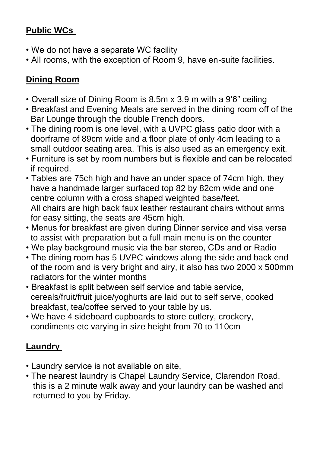#### **Public WCs**

- We do not have a separate WC facility
- All rooms, with the exception of Room 9, have en-suite facilities.

## **Dining Room**

- Overall size of Dining Room is 8.5m x 3.9 m with a 9'6" ceiling
- Breakfast and Evening Meals are served in the dining room off of the Bar Lounge through the double French doors.
- The dining room is one level, with a UVPC glass patio door with a doorframe of 89cm wide and a floor plate of only 4cm leading to a small outdoor seating area. This is also used as an emergency exit.
- Furniture is set by room numbers but is flexible and can be relocated if required.
- Tables are 75ch high and have an under space of 74cm high, they have a handmade larger surfaced top 82 by 82cm wide and one centre column with a cross shaped weighted base/feet. All chairs are high back faux leather restaurant chairs without arms for easy sitting, the seats are 45cm high.
- Menus for breakfast are given during Dinner service and visa versa to assist with preparation but a full main menu is on the counter
- We play background music via the bar stereo, CDs and or Radio
- The dining room has 5 UVPC windows along the side and back end of the room and is very bright and airy, it also has two 2000 x 500mm radiators for the winter months
- Breakfast is split between self service and table service, cereals/fruit/fruit juice/yoghurts are laid out to self serve, cooked breakfast, tea/coffee served to your table by us.
- We have 4 sideboard cupboards to store cutlery, crockery, condiments etc varying in size height from 70 to 110cm

## **Laundry**

- Laundry service is not available on site,
- The nearest laundry is Chapel Laundry Service, Clarendon Road, this is a 2 minute walk away and your laundry can be washed and returned to you by Friday.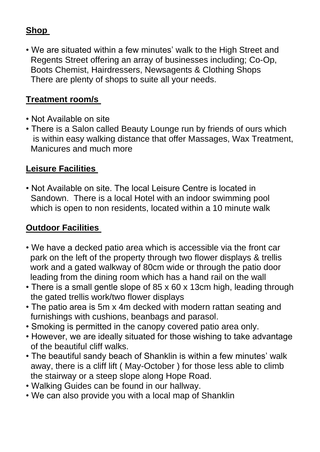#### **Shop**

• We are situated within a few minutes' walk to the High Street and Regents Street offering an array of businesses including; Co-Op, Boots Chemist, Hairdressers, Newsagents & Clothing Shops There are plenty of shops to suite all your needs.

#### **Treatment room/s**

- Not Available on site
- There is a Salon called Beauty Lounge run by friends of ours which is within easy walking distance that offer Massages, Wax Treatment, Manicures and much more

#### **Leisure Facilities**

• Not Available on site. The local Leisure Centre is located in Sandown. There is a local Hotel with an indoor swimming pool which is open to non residents, located within a 10 minute walk

#### **Outdoor Facilities**

- We have a decked patio area which is accessible via the front car park on the left of the property through two flower displays & trellis work and a gated walkway of 80cm wide or through the patio door leading from the dining room which has a hand rail on the wall
- There is a small gentle slope of 85 x 60 x 13cm high, leading through the gated trellis work/two flower displays
- The patio area is 5m x 4m decked with modern rattan seating and furnishings with cushions, beanbags and parasol.
- Smoking is permitted in the canopy covered patio area only.
- However, we are ideally situated for those wishing to take advantage of the beautiful cliff walks.
- The beautiful sandy beach of Shanklin is within a few minutes' walk away, there is a cliff lift ( May-October ) for those less able to climb the stairway or a steep slope along Hope Road.
- Walking Guides can be found in our hallway.
- We can also provide you with a local map of Shanklin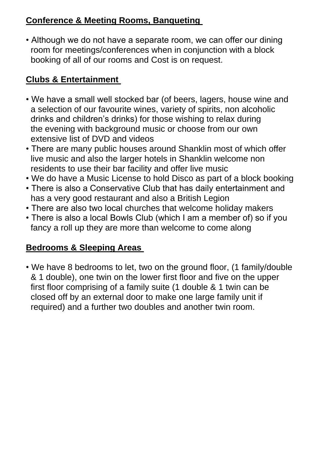#### **Conference & Meeting Rooms, Banqueting**

• Although we do not have a separate room, we can offer our dining room for meetings/conferences when in conjunction with a block booking of all of our rooms and Cost is on request.

## **Clubs & Entertainment**

- We have a small well stocked bar (of beers, lagers, house wine and a selection of our favourite wines, variety of spirits, non alcoholic drinks and children's drinks) for those wishing to relax during the evening with background music or choose from our own extensive list of DVD and videos
- There are many public houses around Shanklin most of which offer live music and also the larger hotels in Shanklin welcome non residents to use their bar facility and offer live music
- We do have a Music License to hold Disco as part of a block booking
- There is also a Conservative Club that has daily entertainment and has a very good restaurant and also a British Legion
- There are also two local churches that welcome holiday makers
- There is also a local Bowls Club (which I am a member of) so if you fancy a roll up they are more than welcome to come along

#### **Bedrooms & Sleeping Areas**

• We have 8 bedrooms to let, two on the ground floor, (1 family/double & 1 double), one twin on the lower first floor and five on the upper first floor comprising of a family suite (1 double & 1 twin can be closed off by an external door to make one large family unit if required) and a further two doubles and another twin room.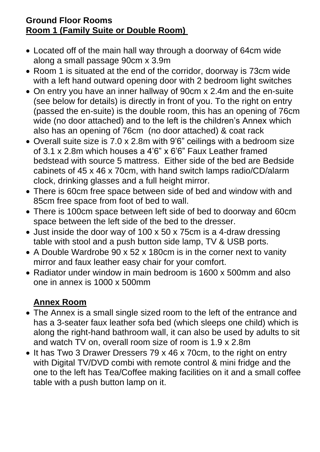#### **Ground Floor Rooms Room 1 (Family Suite or Double Room)**

- Located off of the main hall way through a doorway of 64cm wide along a small passage 90cm x 3.9m
- Room 1 is situated at the end of the corridor, doorway is 73cm wide with a left hand outward opening door with 2 bedroom light switches
- On entry you have an inner hallway of 90cm x 2.4m and the en-suite (see below for details) is directly in front of you. To the right on entry (passed the en-suite) is the double room, this has an opening of 76cm wide (no door attached) and to the left is the children's Annex which also has an opening of 76cm (no door attached) & coat rack
- Overall suite size is 7.0 x 2.8m with 9'6" ceilings with a bedroom size of 3.1 x 2.8m which houses a 4'6" x 6'6" Faux Leather framed bedstead with source 5 mattress. Either side of the bed are Bedside cabinets of 45 x 46 x 70cm, with hand switch lamps radio/CD/alarm clock, drinking glasses and a full height mirror.
- There is 60cm free space between side of bed and window with and 85cm free space from foot of bed to wall.
- There is 100cm space between left side of bed to doorway and 60cm space between the left side of the bed to the dresser.
- Just inside the door way of 100 x 50 x 75cm is a 4-draw dressing table with stool and a push button side lamp, TV & USB ports.
- A Double Wardrobe 90 x 52 x 180cm is in the corner next to vanity mirror and faux leather easy chair for your comfort.
- Radiator under window in main bedroom is 1600 x 500mm and also one in annex is 1000 x 500mm

## **Annex Room**

- The Annex is a small single sized room to the left of the entrance and has a 3-seater faux leather sofa bed (which sleeps one child) which is along the right-hand bathroom wall, it can also be used by adults to sit and watch TV on, overall room size of room is 1.9 x 2.8m
- It has Two 3 Drawer Dressers 79 x 46 x 70cm, to the right on entry with Digital TV/DVD combi with remote control & mini fridge and the one to the left has Tea/Coffee making facilities on it and a small coffee table with a push button lamp on it.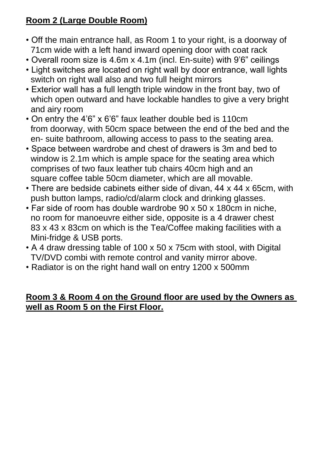## **Room 2 (Large Double Room)**

- Off the main entrance hall, as Room 1 to your right, is a doorway of 71cm wide with a left hand inward opening door with coat rack
- Overall room size is 4.6m x 4.1m (incl. En-suite) with 9'6" ceilings
- Light switches are located on right wall by door entrance, wall lights switch on right wall also and two full height mirrors
- Exterior wall has a full length triple window in the front bay, two of which open outward and have lockable handles to give a very bright and airy room
- On entry the 4'6" x 6'6" faux leather double bed is 110cm from doorway, with 50cm space between the end of the bed and the en- suite bathroom, allowing access to pass to the seating area.
- Space between wardrobe and chest of drawers is 3m and bed to window is 2.1m which is ample space for the seating area which comprises of two faux leather tub chairs 40cm high and an square coffee table 50cm diameter, which are all movable.
- There are bedside cabinets either side of divan, 44 x 44 x 65cm, with push button lamps, radio/cd/alarm clock and drinking glasses.
- Far side of room has double wardrobe 90 x 50 x 180cm in niche, no room for manoeuvre either side, opposite is a 4 drawer chest 83 x 43 x 83cm on which is the Tea/Coffee making facilities with a Mini-fridge & USB ports.
- A 4 draw dressing table of 100 x 50 x 75cm with stool, with Digital TV/DVD combi with remote control and vanity mirror above.
- Radiator is on the right hand wall on entry 1200 x 500mm

#### **Room 3 & Room 4 on the Ground floor are used by the Owners as well as Room 5 on the First Floor.**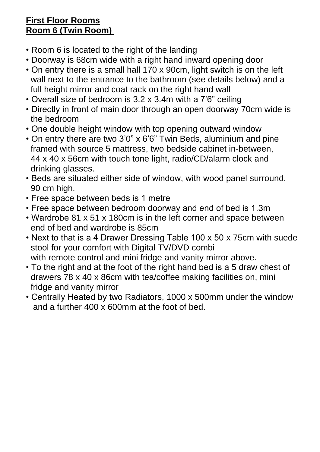#### **First Floor Rooms Room 6 (Twin Room)**

- Room 6 is located to the right of the landing
- Doorway is 68cm wide with a right hand inward opening door
- On entry there is a small hall 170 x 90cm, light switch is on the left wall next to the entrance to the bathroom (see details below) and a full height mirror and coat rack on the right hand wall
- Overall size of bedroom is 3.2 x 3.4m with a 7'6" ceiling
- Directly in front of main door through an open doorway 70cm wide is the bedroom
- One double height window with top opening outward window
- On entry there are two 3'0" x 6'6" Twin Beds, aluminium and pine framed with source 5 mattress, two bedside cabinet in-between, 44 x 40 x 56cm with touch tone light, radio/CD/alarm clock and drinking glasses.
- Beds are situated either side of window, with wood panel surround, 90 cm high.
- Free space between beds is 1 metre
- Free space between bedroom doorway and end of bed is 1.3m
- Wardrobe 81 x 51 x 180cm is in the left corner and space between end of bed and wardrobe is 85cm
- Next to that is a 4 Drawer Dressing Table 100 x 50 x 75cm with suede stool for your comfort with Digital TV/DVD combi with remote control and mini fridge and vanity mirror above.
- To the right and at the foot of the right hand bed is a 5 draw chest of drawers 78 x 40 x 86cm with tea/coffee making facilities on, mini fridge and vanity mirror
- Centrally Heated by two Radiators, 1000 x 500mm under the window and a further 400 x 600mm at the foot of bed.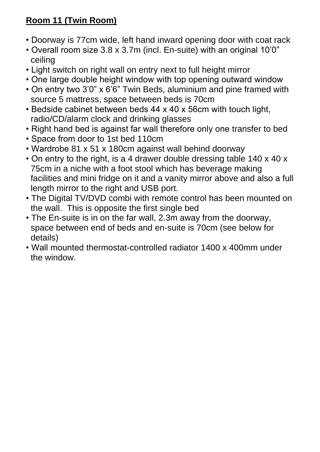## **Room 11 (Twin Room)**

- Doorway is 77cm wide, left hand inward opening door with coat rack
- Overall room size 3.8 x 3.7m (incl. En-suite) with an original 10'0" ceiling
- Light switch on right wall on entry next to full height mirror
- One large double height window with top opening outward window
- On entry two 3'0" x 6'6" Twin Beds, aluminium and pine framed with source 5 mattress, space between beds is 70cm
- Bedside cabinet between beds 44 x 40 x 56cm with touch light, radio/CD/alarm clock and drinking glasses
- Right hand bed is against far wall therefore only one transfer to bed
- Space from door to 1st bed 110cm
- Wardrobe 81 x 51 x 180cm against wall behind doorway
- On entry to the right, is a 4 drawer double dressing table 140 x 40 x 75cm in a niche with a foot stool which has beverage making facilities and mini fridge on it and a vanity mirror above and also a full length mirror to the right and USB port.
- The Digital TV/DVD combi with remote control has been mounted on the wall. This is opposite the first single bed
- The En-suite is in on the far wall, 2.3m away from the doorway, space between end of beds and en-suite is 70cm (see below for details)
- Wall mounted thermostat-controlled radiator 1400 x 400mm under the window.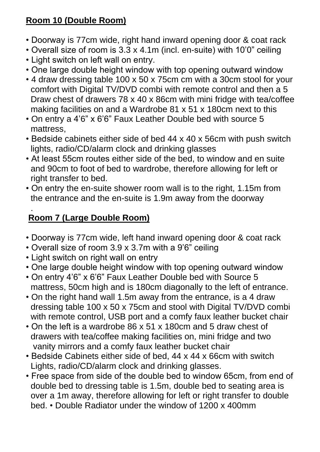## **Room 10 (Double Room)**

- Doorway is 77cm wide, right hand inward opening door & coat rack
- Overall size of room is 3.3 x 4.1m (incl. en-suite) with 10'0" ceiling
- Light switch on left wall on entry.
- One large double height window with top opening outward window
- 4 draw dressing table 100 x 50 x 75cm cm with a 30cm stool for your comfort with Digital TV/DVD combi with remote control and then a 5 Draw chest of drawers 78 x 40 x 86cm with mini fridge with tea/coffee making facilities on and a Wardrobe 81 x 51 x 180cm next to this
- On entry a 4'6" x 6'6" Faux Leather Double bed with source 5 mattress,
- Bedside cabinets either side of bed 44 x 40 x 56cm with push switch lights, radio/CD/alarm clock and drinking glasses
- At least 55cm routes either side of the bed, to window and en suite and 90cm to foot of bed to wardrobe, therefore allowing for left or right transfer to bed.
- On entry the en-suite shower room wall is to the right, 1.15m from the entrance and the en-suite is 1.9m away from the doorway

#### . **Room 7 (Large Double Room)**

- Doorway is 77cm wide, left hand inward opening door & coat rack
- Overall size of room 3.9 x 3.7m with a 9'6" ceiling
- Light switch on right wall on entry
- One large double height window with top opening outward window
- On entry 4'6" x 6'6" Faux Leather Double bed with Source 5 mattress, 50cm high and is 180cm diagonally to the left of entrance.
- On the right hand wall 1.5m away from the entrance, is a 4 draw dressing table 100 x 50 x 75cm and stool with Digital TV/DVD combi with remote control, USB port and a comfy faux leather bucket chair
- On the left is a wardrobe 86 x 51 x 180cm and 5 draw chest of drawers with tea/coffee making facilities on, mini fridge and two vanity mirrors and a comfy faux leather bucket chair
- Bedside Cabinets either side of bed, 44 x 44 x 66cm with switch Lights, radio/CD/alarm clock and drinking glasses.
- Free space from side of the double bed to window 65cm, from end of double bed to dressing table is 1.5m, double bed to seating area is over a 1m away, therefore allowing for left or right transfer to double bed. • Double Radiator under the window of 1200 x 400mm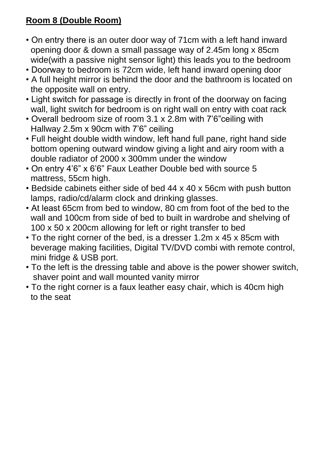## **Room 8 (Double Room)**

- On entry there is an outer door way of 71cm with a left hand inward opening door & down a small passage way of 2.45m long x 85cm wide(with a passive night sensor light) this leads you to the bedroom
- Doorway to bedroom is 72cm wide, left hand inward opening door
- A full height mirror is behind the door and the bathroom is located on the opposite wall on entry.
- Light switch for passage is directly in front of the doorway on facing wall, light switch for bedroom is on right wall on entry with coat rack
- Overall bedroom size of room 3.1 x 2.8m with 7'6"ceiling with Hallway 2.5m x 90cm with 7'6" ceiling
- Full height double width window, left hand full pane, right hand side bottom opening outward window giving a light and airy room with a double radiator of 2000 x 300mm under the window
- On entry 4'6" x 6'6" Faux Leather Double bed with source 5 mattress, 55cm high.
- Bedside cabinets either side of bed 44 x 40 x 56cm with push button lamps, radio/cd/alarm clock and drinking glasses.
- At least 65cm from bed to window, 80 cm from foot of the bed to the wall and 100cm from side of bed to built in wardrobe and shelving of 100 x 50 x 200cm allowing for left or right transfer to bed
- To the right corner of the bed, is a dresser 1.2m x 45 x 85cm with beverage making facilities, Digital TV/DVD combi with remote control, mini fridge & USB port.
- To the left is the dressing table and above is the power shower switch, shaver point and wall mounted vanity mirror
- To the right corner is a faux leather easy chair, which is 40cm high to the seat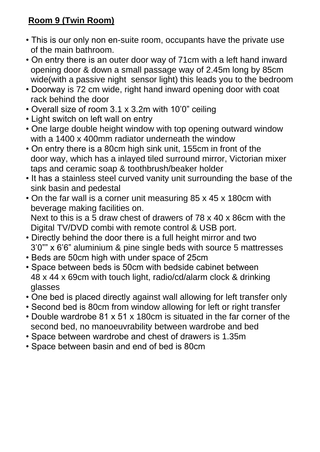## **Room 9 (Twin Room)**

- This is our only non en-suite room, occupants have the private use of the main bathroom.
- On entry there is an outer door way of 71cm with a left hand inward opening door & down a small passage way of 2.45m long by 85cm wide(with a passive night sensor light) this leads you to the bedroom
- Doorway is 72 cm wide, right hand inward opening door with coat rack behind the door
- Overall size of room 3.1 x 3.2m with 10'0" ceiling
- Light switch on left wall on entry
- One large double height window with top opening outward window with a 1400 x 400mm radiator underneath the window
- On entry there is a 80cm high sink unit, 155cm in front of the door way, which has a inlayed tiled surround mirror, Victorian mixer taps and ceramic soap & toothbrush/beaker holder
- It has a stainless steel curved vanity unit surrounding the base of the sink basin and pedestal
- On the far wall is a corner unit measuring 85 x 45 x 180cm with beverage making facilities on. Next to this is a 5 draw chest of drawers of 78 x 40 x 86cm with the Digital TV/DVD combi with remote control & USB port.
- Directly behind the door there is a full height mirror and two 3'0"" x 6'6" aluminium & pine single beds with source 5 mattresses
- Beds are 50cm high with under space of 25cm
- Space between beds is 50cm with bedside cabinet between 48 x 44 x 69cm with touch light, radio/cd/alarm clock & drinking glasses
- One bed is placed directly against wall allowing for left transfer only
- Second bed is 80cm from window allowing for left or right transfer
- Double wardrobe 81 x 51 x 180cm is situated in the far corner of the second bed, no manoeuvrability between wardrobe and bed
- Space between wardrobe and chest of drawers is 1.35m
- Space between basin and end of bed is 80cm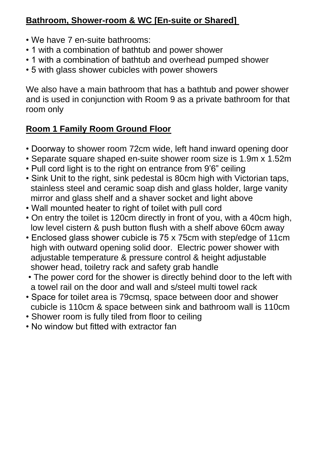#### **Bathroom, Shower-room & WC [En-suite or Shared]**

- We have 7 en-suite bathrooms:
- 1 with a combination of bathtub and power shower
- 1 with a combination of bathtub and overhead pumped shower
- 5 with glass shower cubicles with power showers

We also have a main bathroom that has a bathtub and power shower and is used in conjunction with Room 9 as a private bathroom for that room only

# **Room 1 Family Room Ground Floor**

- Doorway to shower room 72cm wide, left hand inward opening door
- Separate square shaped en-suite shower room size is 1.9m x 1.52m
- Pull cord light is to the right on entrance from 9'6" ceiling
- Sink Unit to the right, sink pedestal is 80cm high with Victorian taps, stainless steel and ceramic soap dish and glass holder, large vanity mirror and glass shelf and a shaver socket and light above
- Wall mounted heater to right of toilet with pull cord
- On entry the toilet is 120cm directly in front of you, with a 40cm high, low level cistern & push button flush with a shelf above 60cm away
- Enclosed glass shower cubicle is 75 x 75cm with step/edge of 11cm high with outward opening solid door. Electric power shower with adjustable temperature & pressure control & height adjustable shower head, toiletry rack and safety grab handle
- The power cord for the shower is directly behind door to the left with a towel rail on the door and wall and s/steel multi towel rack
- Space for toilet area is 79cmsq, space between door and shower cubicle is 110cm & space between sink and bathroom wall is 110cm
- Shower room is fully tiled from floor to ceiling
- No window but fitted with extractor fan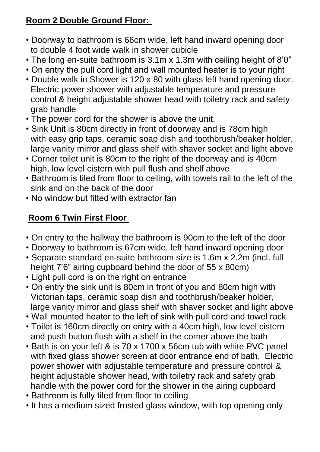## **Room 2 Double Ground Floor:**

- Doorway to bathroom is 66cm wide, left hand inward opening door to double 4 foot wide walk in shower cubicle
- The long en-suite bathroom is 3.1m x 1.3m with ceiling height of 8'0"
- On entry the pull cord light and wall mounted heater is to your right
- Double walk in Shower is 120 x 80 with glass left hand opening door. Electric power shower with adjustable temperature and pressure control & height adjustable shower head with toiletry rack and safety grab handle
- The power cord for the shower is above the unit.
- Sink Unit is 80cm directly in front of doorway and is 78cm high with easy grip taps, ceramic soap dish and toothbrush/beaker holder, large vanity mirror and glass shelf with shaver socket and light above
- Corner toilet unit is 80cm to the right of the doorway and is 40cm high, low level cistern with pull flush and shelf above
- Bathroom is tiled from floor to ceiling, with towels rail to the left of the sink and on the back of the door
- No window but fitted with extractor fan

## **Room 6 Twin First Floor**

- On entry to the hallway the bathroom is 90cm to the left of the door
- Doorway to bathroom is 67cm wide, left hand inward opening door
- Separate standard en-suite bathroom size is 1.6m x 2.2m (incl. full height 7'6" airing cupboard behind the door of 55 x 80cm)
- Light pull cord is on the right on entrance
- On entry the sink unit is 80cm in front of you and 80cm high with Victorian taps, ceramic soap dish and toothbrush/beaker holder, large vanity mirror and glass shelf with shaver socket and light above
- Wall mounted heater to the left of sink with pull cord and towel rack
- Toilet is 160cm directly on entry with a 40cm high, low level cistern and push button flush with a shelf in the corner above the bath
- Bath is on your left & is 70 x 1700 x 56cm tub with white PVC panel with fixed glass shower screen at door entrance end of bath. Electric power shower with adjustable temperature and pressure control & height adjustable shower head, with toiletry rack and safety grab handle with the power cord for the shower in the airing cupboard
- Bathroom is fully tiled from floor to ceiling
- It has a medium sized frosted glass window, with top opening only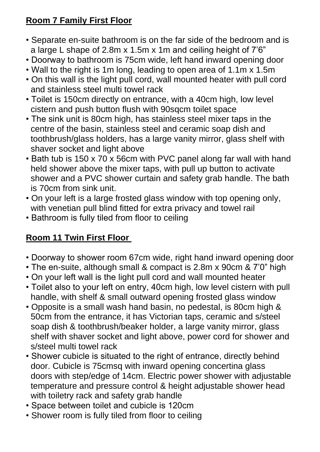## **Room 7 Family First Floor**

- Separate en-suite bathroom is on the far side of the bedroom and is a large L shape of 2.8m x 1.5m x 1m and ceiling height of 7'6"
- Doorway to bathroom is 75cm wide, left hand inward opening door
- Wall to the right is 1m long, leading to open area of 1.1m x 1.5m
- On this wall is the light pull cord, wall mounted heater with pull cord and stainless steel multi towel rack
- Toilet is 150cm directly on entrance, with a 40cm high, low level cistern and push button flush with 90sqcm toilet space
- The sink unit is 80cm high, has stainless steel mixer taps in the centre of the basin, stainless steel and ceramic soap dish and toothbrush/glass holders, has a large vanity mirror, glass shelf with shaver socket and light above
- Bath tub is 150 x 70 x 56cm with PVC panel along far wall with hand held shower above the mixer taps, with pull up button to activate shower and a PVC shower curtain and safety grab handle. The bath is 70cm from sink unit.
- On your left is a large frosted glass window with top opening only, with venetian pull blind fitted for extra privacy and towel rail
- Bathroom is fully tiled from floor to ceiling

## **Room 11 Twin First Floor**

- Doorway to shower room 67cm wide, right hand inward opening door
- The en-suite, although small & compact is 2.8m x 90cm & 7'0" high
- On your left wall is the light pull cord and wall mounted heater
- Toilet also to your left on entry, 40cm high, low level cistern with pull handle, with shelf & small outward opening frosted glass window
- Opposite is a small wash hand basin, no pedestal, is 80cm high & 50cm from the entrance, it has Victorian taps, ceramic and s/steel soap dish & toothbrush/beaker holder, a large vanity mirror, glass shelf with shaver socket and light above, power cord for shower and s/steel multi towel rack
- Shower cubicle is situated to the right of entrance, directly behind door. Cubicle is 75cmsq with inward opening concertina glass doors with step/edge of 14cm. Electric power shower with adjustable temperature and pressure control & height adjustable shower head with toiletry rack and safety grab handle
- Space between toilet and cubicle is 120cm
- Shower room is fully tiled from floor to ceiling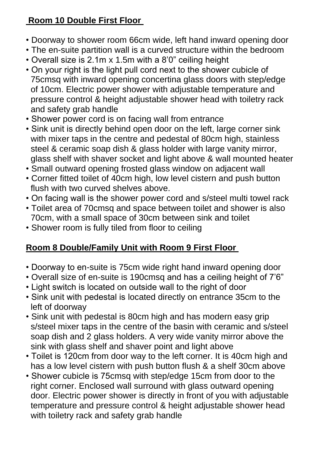## **Room 10 Double First Floor**

- Doorway to shower room 66cm wide, left hand inward opening door
- The en-suite partition wall is a curved structure within the bedroom
- Overall size is 2.1m x 1.5m with a 8'0" ceiling height
- On your right is the light pull cord next to the shower cubicle of 75cmsq with inward opening concertina glass doors with step/edge of 10cm. Electric power shower with adjustable temperature and pressure control & height adjustable shower head with toiletry rack and safety grab handle
- Shower power cord is on facing wall from entrance
- Sink unit is directly behind open door on the left, large corner sink with mixer taps in the centre and pedestal of 80cm high, stainless steel & ceramic soap dish & glass holder with large vanity mirror, glass shelf with shaver socket and light above & wall mounted heater
- Small outward opening frosted glass window on adjacent wall
- Corner fitted toilet of 40cm high, low level cistern and push button flush with two curved shelves above.
- On facing wall is the shower power cord and s/steel multi towel rack
- Toilet area of 70cmsq and space between toilet and shower is also 70cm, with a small space of 30cm between sink and toilet
- Shower room is fully tiled from floor to ceiling

## **Room 8 Double/Family Unit with Room 9 First Floor**

- Doorway to en-suite is 75cm wide right hand inward opening door
- Overall size of en-suite is 190cmsq and has a ceiling height of 7'6"
- Light switch is located on outside wall to the right of door
- Sink unit with pedestal is located directly on entrance 35cm to the left of doorway
- Sink unit with pedestal is 80cm high and has modern easy grip s/steel mixer taps in the centre of the basin with ceramic and s/steel soap dish and 2 glass holders. A very wide vanity mirror above the sink with glass shelf and shaver point and light above
- Toilet is 120cm from door way to the left corner. It is 40cm high and has a low level cistern with push button flush & a shelf 30cm above
- Shower cubicle is 75cmsq with step/edge 15cm from door to the right corner. Enclosed wall surround with glass outward opening door. Electric power shower is directly in front of you with adjustable temperature and pressure control & height adjustable shower head with toiletry rack and safety grab handle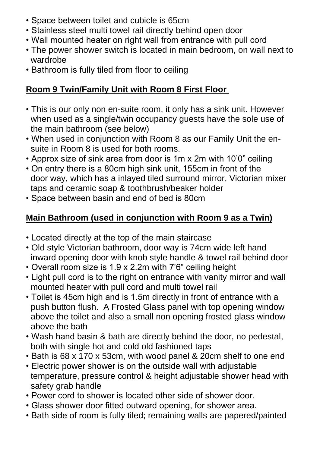- Space between toilet and cubicle is 65cm
- Stainless steel multi towel rail directly behind open door
- Wall mounted heater on right wall from entrance with pull cord
- The power shower switch is located in main bedroom, on wall next to wardrobe
- Bathroom is fully tiled from floor to ceiling

#### **Room 9 Twin/Family Unit with Room 8 First Floor**

- This is our only non en-suite room, it only has a sink unit. However when used as a single/twin occupancy guests have the sole use of the main bathroom (see below)
- When used in conjunction with Room 8 as our Family Unit the en suite in Room 8 is used for both rooms.
- Approx size of sink area from door is 1m x 2m with 10'0" ceiling
- On entry there is a 80cm high sink unit, 155cm in front of the door way, which has a inlayed tiled surround mirror, Victorian mixer taps and ceramic soap & toothbrush/beaker holder
- Space between basin and end of bed is 80cm

#### **Main Bathroom (used in conjunction with Room 9 as a Twin)**

- Located directly at the top of the main staircase
- Old style Victorian bathroom, door way is 74cm wide left hand inward opening door with knob style handle & towel rail behind door
- Overall room size is 1.9 x 2.2m with 7'6" ceiling height
- Light pull cord is to the right on entrance with vanity mirror and wall mounted heater with pull cord and multi towel rail
- Toilet is 45cm high and is 1.5m directly in front of entrance with a push button flush. A Frosted Glass panel with top opening window above the toilet and also a small non opening frosted glass window above the bath
- Wash hand basin & bath are directly behind the door, no pedestal, both with single hot and cold old fashioned taps
- Bath is 68 x 170 x 53cm, with wood panel & 20cm shelf to one end
- Electric power shower is on the outside wall with adjustable temperature, pressure control & height adjustable shower head with safety grab handle
- Power cord to shower is located other side of shower door.
- Glass shower door fitted outward opening, for shower area.
- Bath side of room is fully tiled; remaining walls are papered/painted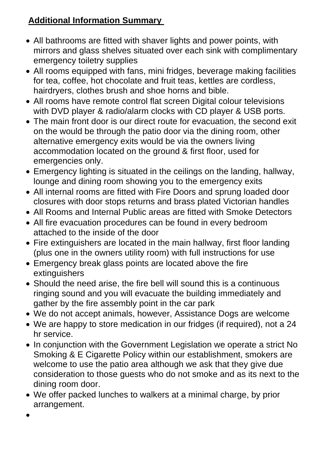#### **Additional Information Summary**

- All bathrooms are fitted with shaver lights and power points, with mirrors and glass shelves situated over each sink with complimentary emergency toiletry supplies
- All rooms equipped with fans, mini fridges, beverage making facilities for tea, coffee, hot chocolate and fruit teas, kettles are cordless, hairdryers, clothes brush and shoe horns and bible.
- All rooms have remote control flat screen Digital colour televisions with DVD player & radio/alarm clocks with CD player & USB ports.
- The main front door is our direct route for evacuation, the second exit on the would be through the patio door via the dining room, other alternative emergency exits would be via the owners living accommodation located on the ground & first floor, used for emergencies only.
- Emergency lighting is situated in the ceilings on the landing, hallway, lounge and dining room showing you to the emergency exits
- All internal rooms are fitted with Fire Doors and sprung loaded door closures with door stops returns and brass plated Victorian handles
- All Rooms and Internal Public areas are fitted with Smoke Detectors
- All fire evacuation procedures can be found in every bedroom attached to the inside of the door
- Fire extinguishers are located in the main hallway, first floor landing (plus one in the owners utility room) with full instructions for use
- Emergency break glass points are located above the fire **extinguishers**
- Should the need arise, the fire bell will sound this is a continuous ringing sound and you will evacuate the building immediately and gather by the fire assembly point in the car park
- We do not accept animals, however, Assistance Dogs are welcome
- We are happy to store medication in our fridges (if required), not a 24 hr service.
- In conjunction with the Government Legislation we operate a strict No Smoking & E Cigarette Policy within our establishment, smokers are welcome to use the patio area although we ask that they give due consideration to those guests who do not smoke and as its next to the dining room door.
- We offer packed lunches to walkers at a minimal charge, by prior arrangement.

•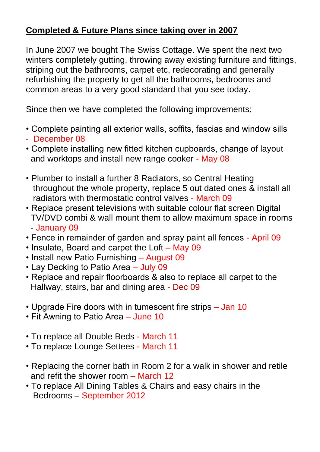#### **Completed & Future Plans since taking over in 2007**

In June 2007 we bought The Swiss Cottage. We spent the next two winters completely gutting, throwing away existing furniture and fittings, striping out the bathrooms, carpet etc, redecorating and generally refurbishing the property to get all the bathrooms, bedrooms and common areas to a very good standard that you see today.

Since then we have completed the following improvements;

- Complete painting all exterior walls, soffits, fascias and window sills
- December 08
- Complete installing new fitted kitchen cupboards, change of layout and worktops and install new range cooker - May 08
- Plumber to install a further 8 Radiators, so Central Heating throughout the whole property, replace 5 out dated ones & install all radiators with thermostatic control valves - March 09
- Replace present televisions with suitable colour flat screen Digital TV/DVD combi & wall mount them to allow maximum space in rooms - January 09
- Fence in remainder of garden and spray paint all fences April 09
- Insulate, Board and carpet the Loft May 09
- Install new Patio Furnishing August 09
- Lay Decking to Patio Area July 09
- Replace and repair floorboards & also to replace all carpet to the Hallway, stairs, bar and dining area - Dec 09
- Upgrade Fire doors with in tumescent fire strips Jan 10
- Fit Awning to Patio Area June 10
- To replace all Double Beds March 11
- To replace Lounge Settees March 11
- Replacing the corner bath in Room 2 for a walk in shower and retile and refit the shower room – March 12
- To replace All Dining Tables & Chairs and easy chairs in the Bedrooms – September 2012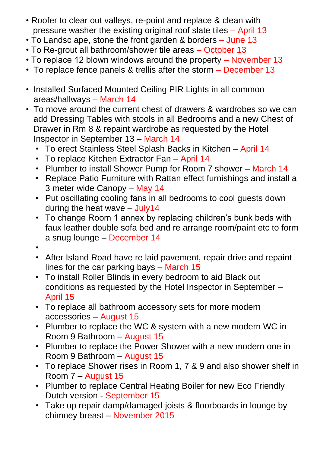- Roofer to clear out valleys, re-point and replace & clean with pressure washer the existing original roof slate tiles – April 13
- To Landsc ape, stone the front garden & borders June 13
- To Re-grout all bathroom/shower tile areas October 13
- To replace 12 blown windows around the property November 13
- To replace fence panels & trellis after the storm December 13
- Installed Surfaced Mounted Ceiling PIR Lights in all common areas/hallways – March 14
- To move around the current chest of drawers & wardrobes so we can add Dressing Tables with stools in all Bedrooms and a new Chest of Drawer in Rm 8 & repaint wardrobe as requested by the Hotel Inspector in September 13 – March 14
	- To erect Stainless Steel Splash Backs in Kitchen April 14
	- To replace Kitchen Extractor Fan April 14
	- Plumber to install Shower Pump for Room 7 shower March 14
	- Replace Patio Furniture with Rattan effect furnishings and install a 3 meter wide Canopy – May 14
	- Put oscillating cooling fans in all bedrooms to cool guests down during the heat wave – July14
	- To change Room 1 annex by replacing children's bunk beds with faux leather double sofa bed and re arrange room/paint etc to form a snug lounge – December 14
	- •
	- After Island Road have re laid pavement, repair drive and repaint lines for the car parking bays – March 15
	- To install Roller Blinds in every bedroom to aid Black out conditions as requested by the Hotel Inspector in September – April 15
	- To replace all bathroom accessory sets for more modern accessories – August 15
	- Plumber to replace the WC & system with a new modern WC in Room 9 Bathroom – August 15
	- Plumber to replace the Power Shower with a new modern one in Room 9 Bathroom – August 15
	- To replace Shower rises in Room 1, 7 & 9 and also shower shelf in Room 7 – August 15
	- Plumber to replace Central Heating Boiler for new Eco Friendly Dutch version - September 15
	- Take up repair damp/damaged joists & floorboards in lounge by chimney breast – November 2015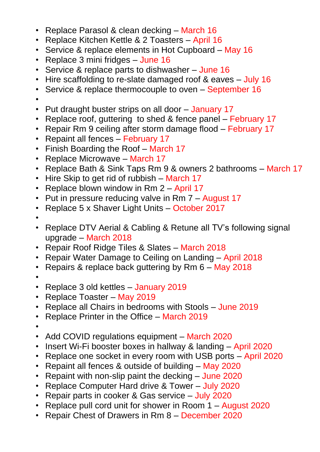- Replace Parasol & clean decking March 16
- Replace Kitchen Kettle & 2 Toasters April 16
- Service & replace elements in Hot Cupboard May 16
- Replace 3 mini fridges June 16
- Service & replace parts to dishwasher June 16
- Hire scaffolding to re-slate damaged roof & eaves July 16
- Service & replace thermocouple to oven September 16
- •
- Put draught buster strips on all door January 17
- Replace roof, guttering to shed & fence panel February 17
- Repair Rm 9 ceiling after storm damage flood February 17
- Repaint all fences February 17
- Finish Boarding the Roof March 17
- Replace Microwave March 17
- Replace Bath & Sink Taps Rm 9 & owners 2 bathrooms March 17
- Hire Skip to get rid of rubbish March 17
- Replace blown window in Rm 2 April 17
- Put in pressure reducing valve in Rm 7 August 17
- Replace 5 x Shaver Light Units October 2017
- •
- Replace DTV Aerial & Cabling & Retune all TV's following signal upgrade – March 2018
- Repair Roof Ridge Tiles & Slates March 2018
- Repair Water Damage to Ceiling on Landing April 2018
- Repairs & replace back guttering by Rm 6 May 2018
- •
- Replace 3 old kettles January 2019
- Replace Toaster May 2019
- Replace all Chairs in bedrooms with Stools June 2019
- Replace Printer in the Office March 2019
- •
- Add COVID regulations equipment March 2020
- Insert Wi-Fi booster boxes in hallway & landing April 2020
- Replace one socket in every room with USB ports April 2020
- Repaint all fences & outside of building May 2020
- Repaint with non-slip paint the decking June 2020
- Replace Computer Hard drive & Tower July 2020
- Repair parts in cooker & Gas service July 2020
- Replace pull cord unit for shower in Room 1 August 2020
- Repair Chest of Drawers in Rm 8 December 2020